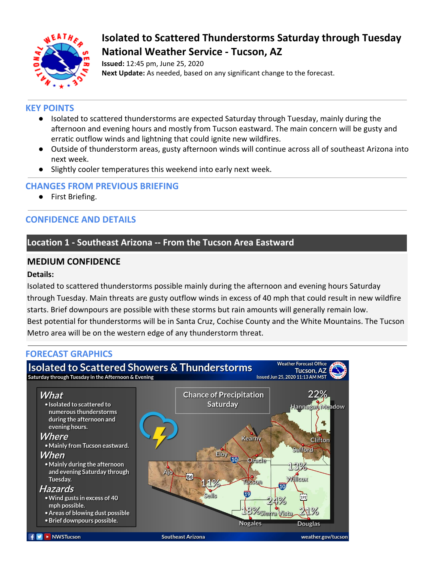

# **Isolated to Scattered Thunderstorms Saturday through Tuesday National Weather Service - Tucson, AZ**

**Issued:** 12:45 pm, June 25, 2020 **Next Update:** As needed, based on any significant change to the forecast.

### **KEY POINTS**

- Isolated to scattered thunderstorms are expected Saturday through Tuesday, mainly during the afternoon and evening hours and mostly from Tucson eastward. The main concern will be gusty and erratic outflow winds and lightning that could ignite new wildfires.
- Outside of thunderstorm areas, gusty afternoon winds will continue across all of southeast Arizona into next week.
- Slightly cooler temperatures this weekend into early next week.

#### **CHANGES FROM PREVIOUS BRIEFING**

● First Briefing.

# **CONFIDENCE AND DETAILS**

## **Location 1 - Southeast Arizona -- From the Tucson Area Eastward**

### **MEDIUM CONFIDENCE**

#### **Details:**

Isolated to scattered thunderstorms possible mainly during the afternoon and evening hours Saturday through Tuesday. Main threats are gusty outflow winds in excess of 40 mph that could result in new wildfire starts. Brief downpours are possible with these storms but rain amounts will generally remain low. Best potential for thunderstorms will be in Santa Cruz, Cochise County and the White Mountains. The Tucson Metro area will be on the western edge of any thunderstorm threat.

## **FORECAST GRAPHICS**